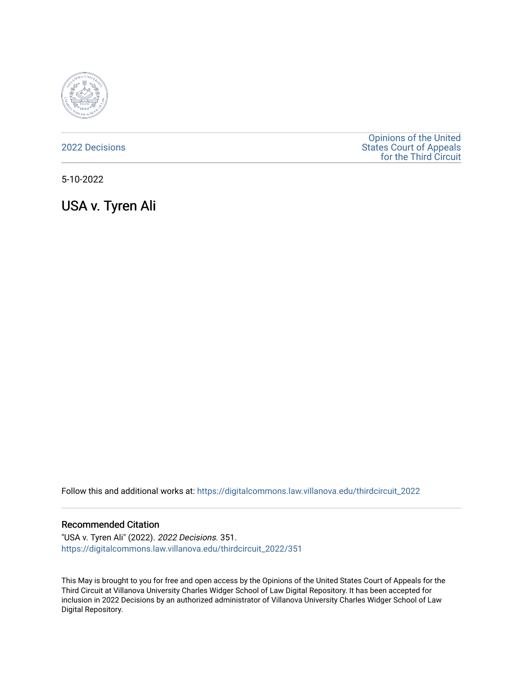

[2022 Decisions](https://digitalcommons.law.villanova.edu/thirdcircuit_2022)

[Opinions of the United](https://digitalcommons.law.villanova.edu/thirdcircuit)  [States Court of Appeals](https://digitalcommons.law.villanova.edu/thirdcircuit)  [for the Third Circuit](https://digitalcommons.law.villanova.edu/thirdcircuit) 

5-10-2022

USA v. Tyren Ali

Follow this and additional works at: [https://digitalcommons.law.villanova.edu/thirdcircuit\\_2022](https://digitalcommons.law.villanova.edu/thirdcircuit_2022?utm_source=digitalcommons.law.villanova.edu%2Fthirdcircuit_2022%2F351&utm_medium=PDF&utm_campaign=PDFCoverPages) 

#### Recommended Citation

"USA v. Tyren Ali" (2022). 2022 Decisions. 351. [https://digitalcommons.law.villanova.edu/thirdcircuit\\_2022/351](https://digitalcommons.law.villanova.edu/thirdcircuit_2022/351?utm_source=digitalcommons.law.villanova.edu%2Fthirdcircuit_2022%2F351&utm_medium=PDF&utm_campaign=PDFCoverPages)

This May is brought to you for free and open access by the Opinions of the United States Court of Appeals for the Third Circuit at Villanova University Charles Widger School of Law Digital Repository. It has been accepted for inclusion in 2022 Decisions by an authorized administrator of Villanova University Charles Widger School of Law Digital Repository.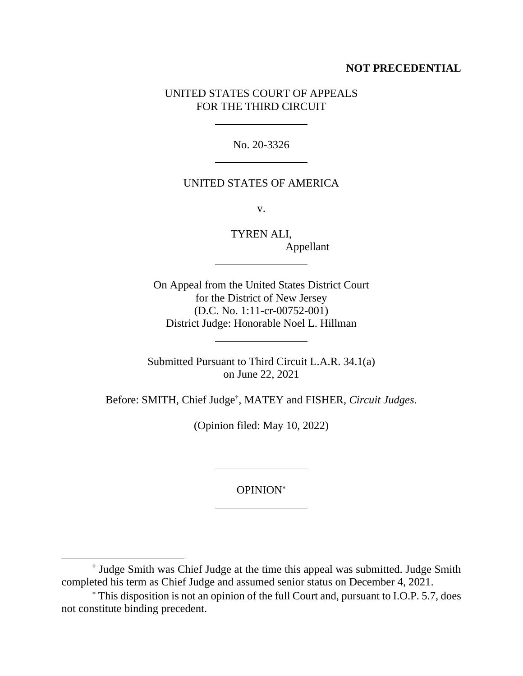# **NOT PRECEDENTIAL**

# UNITED STATES COURT OF APPEALS FOR THE THIRD CIRCUIT

No. 20-3326

### UNITED STATES OF AMERICA

v.

TYREN ALI, Appellant

On Appeal from the United States District Court for the District of New Jersey (D.C. No. 1:11-cr-00752-001) District Judge: Honorable Noel L. Hillman

Submitted Pursuant to Third Circuit L.A.R. 34.1(a) on June 22, 2021

Before: SMITH, Chief Judge† , MATEY and FISHER, *Circuit Judges*.

(Opinion filed: May 10, 2022)

OPINION

<sup>†</sup> Judge Smith was Chief Judge at the time this appeal was submitted. Judge Smith completed his term as Chief Judge and assumed senior status on December 4, 2021.

This disposition is not an opinion of the full Court and, pursuant to I.O.P. 5.7, does not constitute binding precedent.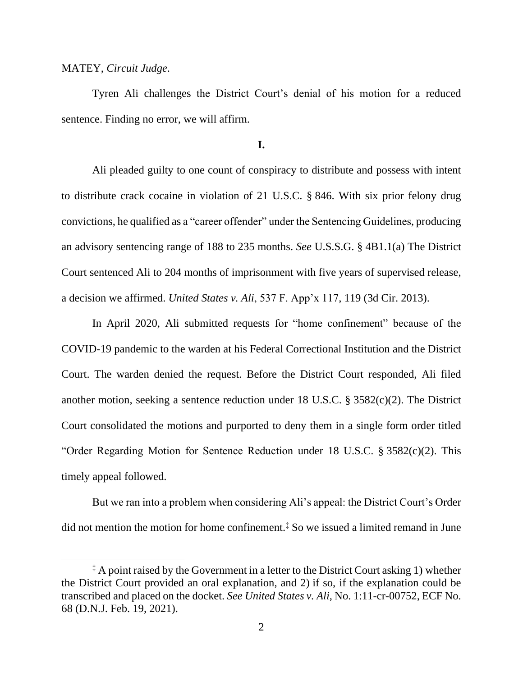### MATEY, *Circuit Judge*.

Tyren Ali challenges the District Court's denial of his motion for a reduced sentence. Finding no error, we will affirm.

### **I.**

Ali pleaded guilty to one count of conspiracy to distribute and possess with intent to distribute crack cocaine in violation of 21 U.S.C. § 846. With six prior felony drug convictions, he qualified as a "career offender" under the Sentencing Guidelines, producing an advisory sentencing range of 188 to 235 months. *See* U.S.S.G. § 4B1.1(a) The District Court sentenced Ali to 204 months of imprisonment with five years of supervised release, a decision we affirmed. *United States v. Ali*, 537 F. App'x 117, 119 (3d Cir. 2013).

In April 2020, Ali submitted requests for "home confinement" because of the COVID-19 pandemic to the warden at his Federal Correctional Institution and the District Court. The warden denied the request. Before the District Court responded, Ali filed another motion, seeking a sentence reduction under 18 U.S.C. § 3582(c)(2). The District Court consolidated the motions and purported to deny them in a single form order titled "Order Regarding Motion for Sentence Reduction under 18 U.S.C. § 3582(c)(2). This timely appeal followed.

But we ran into a problem when considering Ali's appeal: the District Court's Order did not mention the motion for home confinement. ‡ So we issued a limited remand in June

<sup>&</sup>lt;sup>‡</sup> A point raised by the Government in a letter to the District Court asking 1) whether the District Court provided an oral explanation, and 2) if so, if the explanation could be transcribed and placed on the docket. *See United States v. Ali*, No. 1:11-cr-00752, ECF No. 68 (D.N.J. Feb. 19, 2021).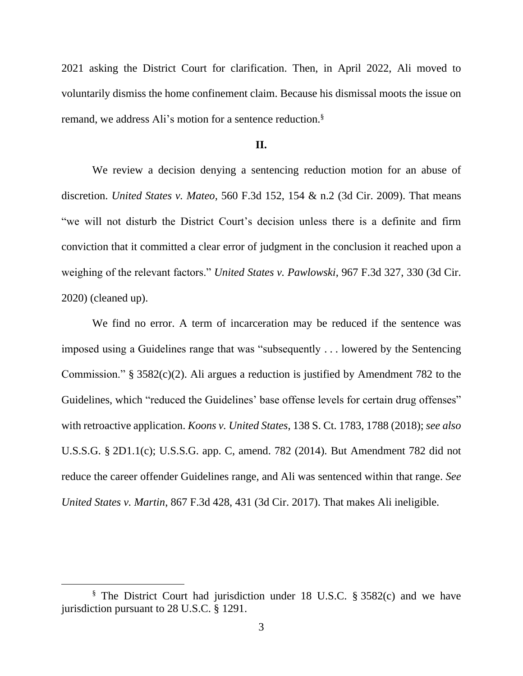2021 asking the District Court for clarification. Then, in April 2022, Ali moved to voluntarily dismiss the home confinement claim. Because his dismissal moots the issue on remand, we address Ali's motion for a sentence reduction.§

#### **II.**

We review a decision denying a sentencing reduction motion for an abuse of discretion. *United States v. Mateo*, 560 F.3d 152, 154 & n.2 (3d Cir. 2009). That means "we will not disturb the District Court's decision unless there is a definite and firm conviction that it committed a clear error of judgment in the conclusion it reached upon a weighing of the relevant factors." *United States v. Pawlowski*, 967 F.3d 327, 330 (3d Cir. 2020) (cleaned up).

We find no error. A term of incarceration may be reduced if the sentence was imposed using a Guidelines range that was "subsequently . . . lowered by the Sentencing Commission." § 3582(c)(2). Ali argues a reduction is justified by Amendment 782 to the Guidelines, which "reduced the Guidelines' base offense levels for certain drug offenses" with retroactive application. *Koons v. United States*, 138 S. Ct. 1783, 1788 (2018); *see also* U.S.S.G. § 2D1.1(c); U.S.S.G. app. C, amend. 782 (2014). But Amendment 782 did not reduce the career offender Guidelines range, and Ali was sentenced within that range. *See United States v. Martin*, 867 F.3d 428, 431 (3d Cir. 2017). That makes Ali ineligible.

<sup>§</sup> The District Court had jurisdiction under 18 U.S.C. § 3582(c) and we have jurisdiction pursuant to 28 U.S.C. § 1291.